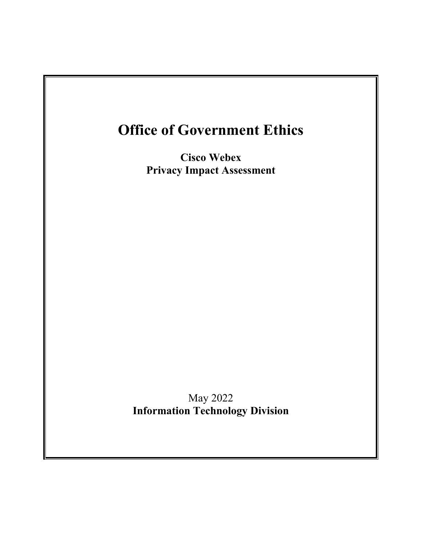

May 2022 **Information Technology Division**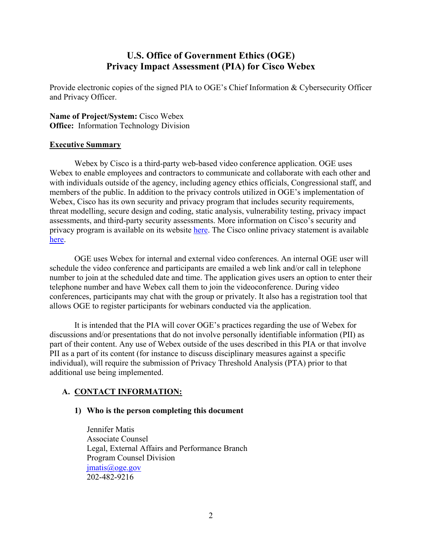# **U.S. Office of Government Ethics (OGE) Privacy Impact Assessment (PIA) for Cisco Webex**

Provide electronic copies of the signed PIA to OGE's Chief Information & Cybersecurity Officer and Privacy Officer.

**Name of Project/System:** Cisco Webex **Office:** Information Technology Division

## **Executive Summary**

Webex by Cisco is a third-party web-based video conference application. OGE uses Webex to enable employees and contractors to communicate and collaborate with each other and with individuals outside of the agency, including agency ethics officials, Congressional staff, and members of the public. In addition to the privacy controls utilized in OGE's implementation of Webex, Cisco has its own security and privacy program that includes security requirements, threat modelling, secure design and coding, static analysis, vulnerability testing, privacy impact assessments, and third-party security assessments. More information on Cisco's security and privacy program is available on its website [here.](https://help.webex.com/en-us/article/nv2hm53/Webex-Security-and-Privacy) The Cisco online privacy statement is available [here.](https://www.cisco.com/c/en/us/about/legal/privacy-full.html)

OGE uses Webex for internal and external video conferences. An internal OGE user will schedule the video conference and participants are emailed a web link and/or call in telephone number to join at the scheduled date and time. The application gives users an option to enter their telephone number and have Webex call them to join the videoconference. During video conferences, participants may chat with the group or privately. It also has a registration tool that allows OGE to register participants for webinars conducted via the application.

It is intended that the PIA will cover OGE's practices regarding the use of Webex for discussions and/or presentations that do not involve personally identifiable information (PII) as part of their content. Any use of Webex outside of the uses described in this PIA or that involve PII as a part of its content (for instance to discuss disciplinary measures against a specific individual), will require the submission of Privacy Threshold Analysis (PTA) prior to that additional use being implemented.

# **A. CONTACT INFORMATION:**

# **1) Who is the person completing this document**

Jennifer Matis Associate Counsel Legal, External Affairs and Performance Branch Program Counsel Division jmatis@oge.gov 202-482-9216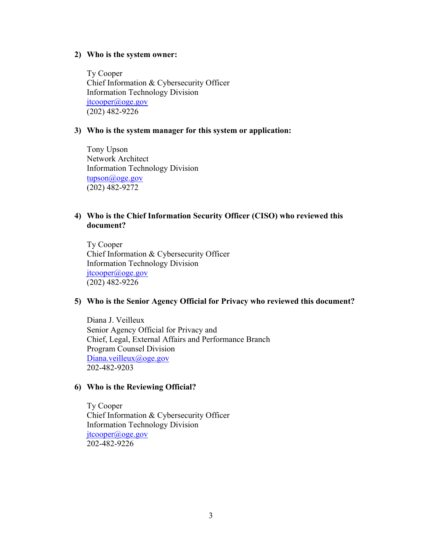#### **2) Who is the system owner:**

 Ty Cooper Chief Information & Cybersecurity Officer Information Technology Division [jtcooper@oge.gov](mailto:jtcooper@oge.gov) (202) 482-9226

#### **3) Who is the system manager for this system or application:**

 Tony Upson Network Architect Information Technology Division [tupson@oge.gov](mailto:tupson@oge.gov) (202) 482-9272

### **4) Who is the Chief Information Security Officer (CISO) who reviewed this document?**

Ty Cooper Chief Information & Cybersecurity Officer Information Technology Division [jtcooper@oge.gov](mailto:jtcooper@oge.gov) (202) 482-9226

#### **5) Who is the Senior Agency Official for Privacy who reviewed this document?**

Diana J. Veilleux Senior Agency Official for Privacy and Chief, Legal, External Affairs and Performance Branch Program Counsel Division [Diana.veilleux@oge.gov](mailto:Diana.veilleux@oge.gov) 202-482-9203

#### **6) Who is the Reviewing Official?**

 Ty Cooper Chief Information & Cybersecurity Officer Information Technology Division [jtcooper@oge.gov](mailto:jtcooper@oge.gov) 202-482-9226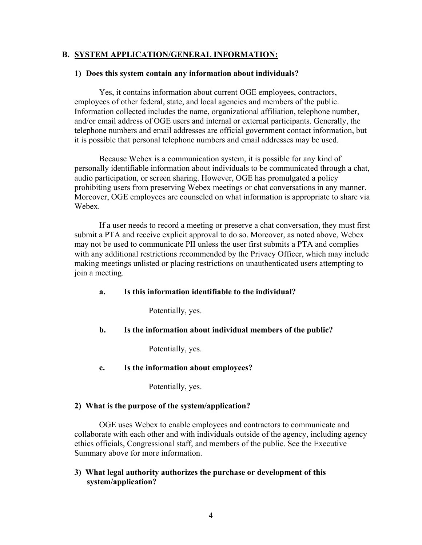#### **B. SYSTEM APPLICATION/GENERAL INFORMATION:**

### **1) Does this system contain any information about individuals?**

Yes, it contains information about current OGE employees, contractors, employees of other federal, state, and local agencies and members of the public. Information collected includes the name, organizational affiliation, telephone number, and/or email address of OGE users and internal or external participants. Generally, the telephone numbers and email addresses are official government contact information, but it is possible that personal telephone numbers and email addresses may be used.

Because Webex is a communication system, it is possible for any kind of personally identifiable information about individuals to be communicated through a chat, audio participation, or screen sharing. However, OGE has promulgated a policy prohibiting users from preserving Webex meetings or chat conversations in any manner. Moreover, OGE employees are counseled on what information is appropriate to share via Webex.

If a user needs to record a meeting or preserve a chat conversation, they must first submit a PTA and receive explicit approval to do so. Moreover, as noted above, Webex may not be used to communicate PII unless the user first submits a PTA and complies with any additional restrictions recommended by the Privacy Officer, which may include making meetings unlisted or placing restrictions on unauthenticated users attempting to join a meeting.

#### **a. Is this information identifiable to the individual?**

Potentially, yes.

#### **b. Is the information about individual members of the public?**

Potentially, yes.

**c. Is the information about employees?**

Potentially, yes.

#### **2) What is the purpose of the system/application?**

OGE uses Webex to enable employees and contractors to communicate and collaborate with each other and with individuals outside of the agency, including agency ethics officials, Congressional staff, and members of the public. See the Executive Summary above for more information.

## **3) What legal authority authorizes the purchase or development of this system/application?**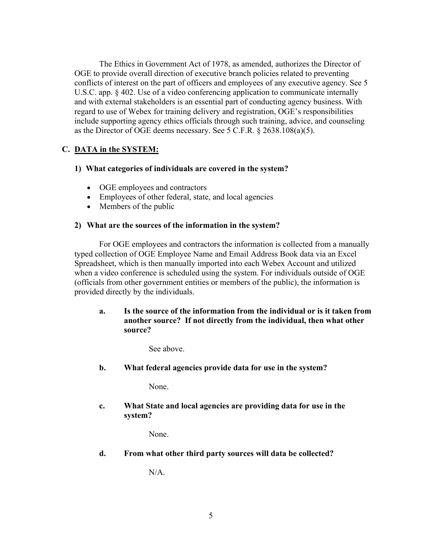The Ethics in Government Act of 1978, as amended, authorizes the Director of OGE to provide overall direction of executive branch policies related to preventing conflicts of interest on the part of officers and employees of any executive agency. See 5 U.S.C. app. § 402. Use of a video conferencing application to communicate internally and with external stakeholders is an essential part of conducting agency business. With regard to use of Webex for training delivery and registration, OGE's responsibilities include supporting agency ethics officials through such training, advice, and counseling as the Director of OGE deems necessary. See 5 C.F.R. § 2638.108(a)(5).

# **C. DATA in the SYSTEM:**

## **1) What categories of individuals are covered in the system?**

- OGE employees and contractors
- Employees of other federal, state, and local agencies
- Members of the public

## **2) What are the sources of the information in the system?**

For OGE employees and contractors the information is collected from a manually typed collection of OGE Employee Name and Email Address Book data via an Excel Spreadsheet, which is then manually imported into each Webex Account and utilized when a video conference is scheduled using the system. For individuals outside of OGE (officials from other government entities or members of the public), the information is provided directly by the individuals.

# **a. Is the source of the information from the individual or is it taken from another source? If not directly from the individual, then what other source?**

See above.

**b. What federal agencies provide data for use in the system?**

None.

**c. What State and local agencies are providing data for use in the system?**

None.

**d. From what other third party sources will data be collected?**

N/A.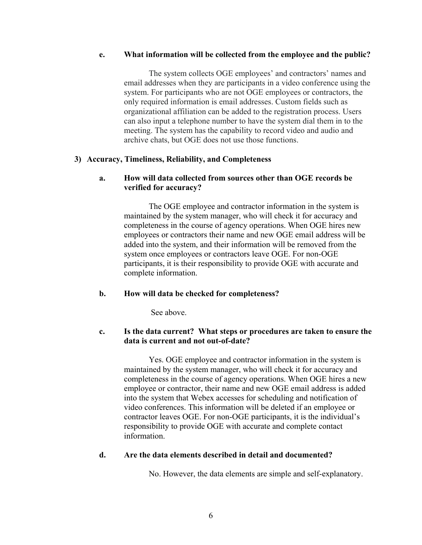#### **e. What information will be collected from the employee and the public?**

The system collects OGE employees' and contractors' names and email addresses when they are participants in a video conference using the system. For participants who are not OGE employees or contractors, the only required information is email addresses. Custom fields such as organizational affiliation can be added to the registration process. Users can also input a telephone number to have the system dial them in to the meeting. The system has the capability to record video and audio and archive chats, but OGE does not use those functions.

### **3) Accuracy, Timeliness, Reliability, and Completeness**

### **a. How will data collected from sources other than OGE records be verified for accuracy?**

The OGE employee and contractor information in the system is maintained by the system manager, who will check it for accuracy and completeness in the course of agency operations. When OGE hires new employees or contractors their name and new OGE email address will be added into the system, and their information will be removed from the system once employees or contractors leave OGE. For non-OGE participants, it is their responsibility to provide OGE with accurate and complete information.

### **b. How will data be checked for completeness?**

See above.

### **c. Is the data current? What steps or procedures are taken to ensure the data is current and not out-of-date?**

Yes. OGE employee and contractor information in the system is maintained by the system manager, who will check it for accuracy and completeness in the course of agency operations. When OGE hires a new employee or contractor, their name and new OGE email address is added into the system that Webex accesses for scheduling and notification of video conferences. This information will be deleted if an employee or contractor leaves OGE. For non-OGE participants, it is the individual's responsibility to provide OGE with accurate and complete contact information.

### **d. Are the data elements described in detail and documented?**

No. However, the data elements are simple and self-explanatory.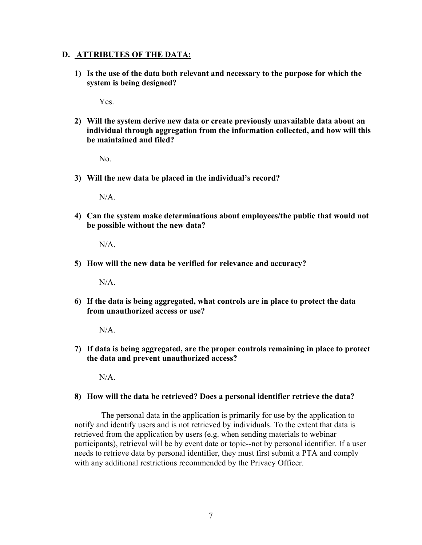#### **D. ATTRIBUTES OF THE DATA:**

**1) Is the use of the data both relevant and necessary to the purpose for which the system is being designed?**

Yes.

**2) Will the system derive new data or create previously unavailable data about an individual through aggregation from the information collected, and how will this be maintained and filed?**

No.

**3) Will the new data be placed in the individual's record?**

N/A.

**4) Can the system make determinations about employees/the public that would not be possible without the new data?**

N/A.

**5) How will the new data be verified for relevance and accuracy?**

 $N/A$ .

**6) If the data is being aggregated, what controls are in place to protect the data from unauthorized access or use?**

 $N/A$ 

**7) If data is being aggregated, are the proper controls remaining in place to protect the data and prevent unauthorized access?** 

N/A.

**8) How will the data be retrieved? Does a personal identifier retrieve the data?**

The personal data in the application is primarily for use by the application to notify and identify users and is not retrieved by individuals. To the extent that data is retrieved from the application by users (e.g. when sending materials to webinar participants), retrieval will be by event date or topic--not by personal identifier. If a user needs to retrieve data by personal identifier, they must first submit a PTA and comply with any additional restrictions recommended by the Privacy Officer.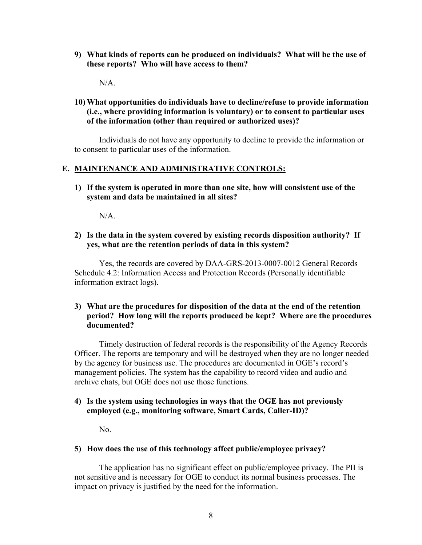**9) What kinds of reports can be produced on individuals? What will be the use of these reports? Who will have access to them?**

N/A.

# **10) What opportunities do individuals have to decline/refuse to provide information (i.e., where providing information is voluntary) or to consent to particular uses of the information (other than required or authorized uses)?**

Individuals do not have any opportunity to decline to provide the information or to consent to particular uses of the information.

## **E. MAINTENANCE AND ADMINISTRATIVE CONTROLS:**

**1) If the system is operated in more than one site, how will consistent use of the system and data be maintained in all sites?**

N/A.

**2) Is the data in the system covered by existing records disposition authority? If yes, what are the retention periods of data in this system?**

Yes, the records are covered by DAA-GRS-2013-0007-0012 General Records Schedule 4.2: Information Access and Protection Records (Personally identifiable information extract logs).

## **3) What are the procedures for disposition of the data at the end of the retention period? How long will the reports produced be kept? Where are the procedures documented?**

Timely destruction of federal records is the responsibility of the Agency Records Officer. The reports are temporary and will be destroyed when they are no longer needed by the agency for business use. The procedures are documented in OGE's record's management policies. The system has the capability to record video and audio and archive chats, but OGE does not use those functions.

## **4) Is the system using technologies in ways that the OGE has not previously employed (e.g., monitoring software, Smart Cards, Caller-ID)?**

No.

### **5) How does the use of this technology affect public/employee privacy?**

The application has no significant effect on public/employee privacy. The PII is not sensitive and is necessary for OGE to conduct its normal business processes. The impact on privacy is justified by the need for the information.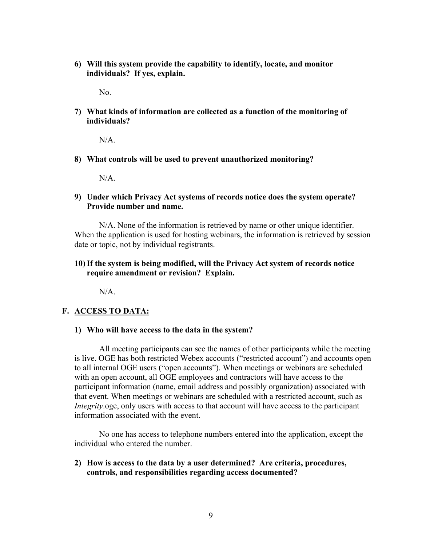**6) Will this system provide the capability to identify, locate, and monitor individuals? If yes, explain.** 

No.

**7) What kinds of information are collected as a function of the monitoring of individuals?**

 $N/A$ .

**8) What controls will be used to prevent unauthorized monitoring?**

N/A.

**9) Under which Privacy Act systems of records notice does the system operate? Provide number and name.**

N/A. None of the information is retrieved by name or other unique identifier. When the application is used for hosting webinars, the information is retrieved by session date or topic, not by individual registrants.

#### **10)If the system is being modified, will the Privacy Act system of records notice require amendment or revision? Explain.**

N/A.

### **F. ACCESS TO DATA:**

**1) Who will have access to the data in the system?** 

All meeting participants can see the names of other participants while the meeting is live. OGE has both restricted Webex accounts ("restricted account") and accounts open to all internal OGE users ("open accounts"). When meetings or webinars are scheduled with an open account, all OGE employees and contractors will have access to the participant information (name, email address and possibly organization) associated with that event. When meetings or webinars are scheduled with a restricted account, such as *Integrity*.oge, only users with access to that account will have access to the participant information associated with the event.

No one has access to telephone numbers entered into the application, except the individual who entered the number.

**2) How is access to the data by a user determined? Are criteria, procedures, controls, and responsibilities regarding access documented?**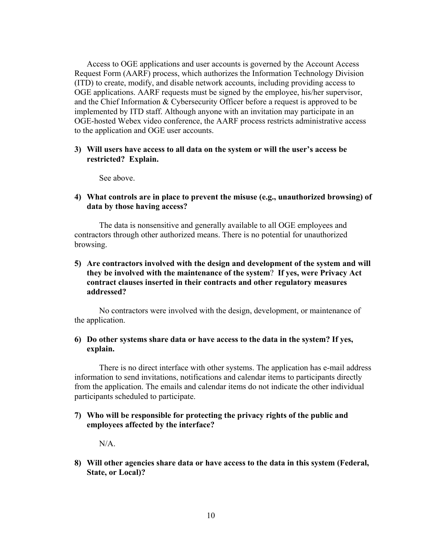Access to OGE applications and user accounts is governed by the Account Access Request Form (AARF) process, which authorizes the Information Technology Division (ITD) to create, modify, and disable network accounts, including providing access to OGE applications. AARF requests must be signed by the employee, his/her supervisor, and the Chief Information & Cybersecurity Officer before a request is approved to be implemented by ITD staff. Although anyone with an invitation may participate in an OGE-hosted Webex video conference, the AARF process restricts administrative access to the application and OGE user accounts.

#### **3) Will users have access to all data on the system or will the user's access be restricted? Explain.**

See above.

**4) What controls are in place to prevent the misuse (e.g., unauthorized browsing) of data by those having access?** 

The data is nonsensitive and generally available to all OGE employees and contractors through other authorized means. There is no potential for unauthorized browsing.

## **5) Are contractors involved with the design and development of the system and will they be involved with the maintenance of the system**? **If yes, were Privacy Act contract clauses inserted in their contracts and other regulatory measures addressed?**

No contractors were involved with the design, development, or maintenance of the application.

### **6) Do other systems share data or have access to the data in the system? If yes, explain.**

There is no direct interface with other systems. The application has e-mail address information to send invitations, notifications and calendar items to participants directly from the application. The emails and calendar items do not indicate the other individual participants scheduled to participate.

### **7) Who will be responsible for protecting the privacy rights of the public and employees affected by the interface?**

N/A.

**8) Will other agencies share data or have access to the data in this system (Federal, State, or Local)?**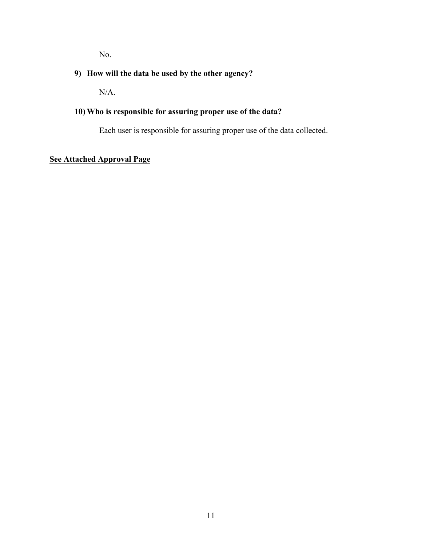No.

# **9) How will the data be used by the other agency?**

N/A.

# **10) Who is responsible for assuring proper use of the data?**

Each user is responsible for assuring proper use of the data collected.

# **See Attached Approval Page**